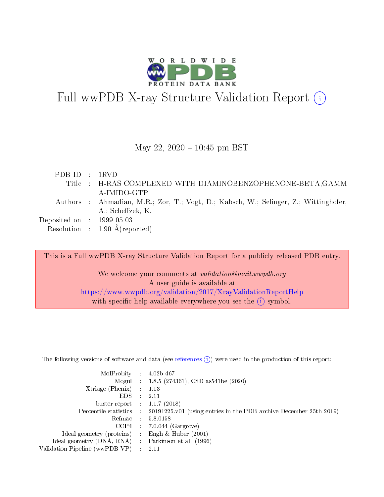

# Full wwPDB X-ray Structure Validation Report  $(i)$

#### May 22,  $2020 - 10:45$  pm BST

| PDBID : 1RVD                   |                                                                                      |
|--------------------------------|--------------------------------------------------------------------------------------|
|                                | Title : H-RAS COMPLEXED WITH DIAMINOBENZOPHENONE-BETA, GAMM                          |
|                                | A-IMIDO-GTP                                                                          |
|                                | Authors : Ahmadian, M.R.; Zor, T.; Vogt, D.; Kabsch, W.; Selinger, Z.; Wittinghofer, |
|                                | A.; Scheffzek, K.                                                                    |
| Deposited on $\,$ : 1999-05-03 |                                                                                      |
|                                | Resolution : $1.90 \text{ Å}$ (reported)                                             |

This is a Full wwPDB X-ray Structure Validation Report for a publicly released PDB entry. We welcome your comments at validation@mail.wwpdb.org A user guide is available at

<https://www.wwpdb.org/validation/2017/XrayValidationReportHelp> with specific help available everywhere you see the  $(i)$  symbol.

The following versions of software and data (see [references](https://www.wwpdb.org/validation/2017/XrayValidationReportHelp#references)  $(1)$ ) were used in the production of this report:

| MolProbity                     | $\mathcal{L}_{\rm{max}}$ | $4.02b - 467$                                                                |
|--------------------------------|--------------------------|------------------------------------------------------------------------------|
|                                |                          | Mogul : $1.8.5$ (274361), CSD as 541be (2020)                                |
| $X$ triage (Phenix) :          |                          | 1.13                                                                         |
| EDS.                           |                          | 2.11                                                                         |
| buster-report : $1.1.7$ (2018) |                          |                                                                              |
| Percentile statistics :        |                          | $20191225 \text{ v}01$ (using entries in the PDB archive December 25th 2019) |
| Refmac                         |                          | 5.8.0158                                                                     |
| $CCP4$ :                       |                          | $7.0.044$ (Gargrove)                                                         |
| Ideal geometry (proteins) :    |                          | Engh $\&$ Huber (2001)                                                       |
| Ideal geometry (DNA, RNA) :    |                          | Parkinson et al. (1996)                                                      |
| Validation Pipeline (wwPDB-VP) | $\mathcal{L}$            | -2.11                                                                        |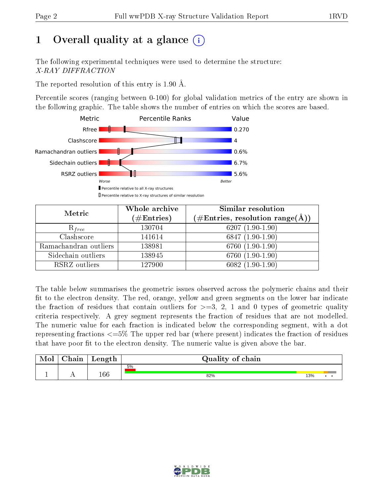# 1 [O](https://www.wwpdb.org/validation/2017/XrayValidationReportHelp#overall_quality)verall quality at a glance  $(i)$

The following experimental techniques were used to determine the structure: X-RAY DIFFRACTION

The reported resolution of this entry is 1.90 Å.

Percentile scores (ranging between 0-100) for global validation metrics of the entry are shown in the following graphic. The table shows the number of entries on which the scores are based.



| Metric                | Whole archive<br>$(\#\text{Entries})$ | Similar resolution<br>$(\#\text{Entries},\,\text{resolution}\,\,\text{range}(\textup{\AA}))$ |  |  |
|-----------------------|---------------------------------------|----------------------------------------------------------------------------------------------|--|--|
| $R_{free}$            | 130704                                | $6207(1.90-1.90)$                                                                            |  |  |
| Clashscore            | 141614                                | $6847(1.90-1.90)$                                                                            |  |  |
| Ramachandran outliers | 138981                                | 6760 (1.90-1.90)                                                                             |  |  |
| Sidechain outliers    | 138945                                | 6760 (1.90-1.90)                                                                             |  |  |
| RSRZ outliers         | 127900                                | $6082(1.90-1.90)$                                                                            |  |  |

The table below summarises the geometric issues observed across the polymeric chains and their fit to the electron density. The red, orange, yellow and green segments on the lower bar indicate the fraction of residues that contain outliers for  $>=3, 2, 1$  and 0 types of geometric quality criteria respectively. A grey segment represents the fraction of residues that are not modelled. The numeric value for each fraction is indicated below the corresponding segment, with a dot representing fractions <=5% The upper red bar (where present) indicates the fraction of residues that have poor fit to the electron density. The numeric value is given above the bar.

| Mol | $\cap$ hain | Length  | Quality of chain |     |  |  |  |  |  |
|-----|-------------|---------|------------------|-----|--|--|--|--|--|
|     |             |         | 5%               |     |  |  |  |  |  |
|     |             | $166\,$ | 82%              | 13% |  |  |  |  |  |

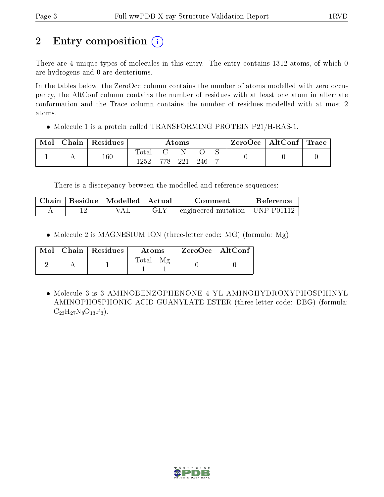# 2 Entry composition (i)

There are 4 unique types of molecules in this entry. The entry contains 1312 atoms, of which 0 are hydrogens and 0 are deuteriums.

In the tables below, the ZeroOcc column contains the number of atoms modelled with zero occupancy, the AltConf column contains the number of residues with at least one atom in alternate conformation and the Trace column contains the number of residues modelled with at most 2 atoms.

Molecule 1 is a protein called TRANSFORMING PROTEIN P21/H-RAS-1.

| Mol | ${\bf Chain \mid Residues}$ | Atoms          |         |  |     | $\text{ZeroOcc} \mid \text{AltConf} \mid \text{Trace}$ |  |
|-----|-----------------------------|----------------|---------|--|-----|--------------------------------------------------------|--|
|     | 160                         | Total<br>1252. | 778 221 |  | 246 |                                                        |  |

There is a discrepancy between the modelled and reference sequences:

| ${\rm Chain}$ | Residue   Modelled   Actual | Comment                                        | Reference |
|---------------|-----------------------------|------------------------------------------------|-----------|
|               | 7AL                         | $\rightarrow$ engineered mutation   UNP P01112 |           |

• Molecule 2 is MAGNESIUM ION (three-letter code: MG) (formula: Mg).

|  | $Mol$   Chain   Residues | Atoms | $ZeroOcc$   AltConf |
|--|--------------------------|-------|---------------------|
|  |                          | Total |                     |

 Molecule 3 is 3-AMINOBENZOPHENONE-4-YL-AMINOHYDROXYPHOSPHINYL AMINOPHOSPHONIC ACID-GUANYLATE ESTER (three-letter code: DBG) (formula:  $C_{23}H_{27}N_8O_{13}P_3$ .

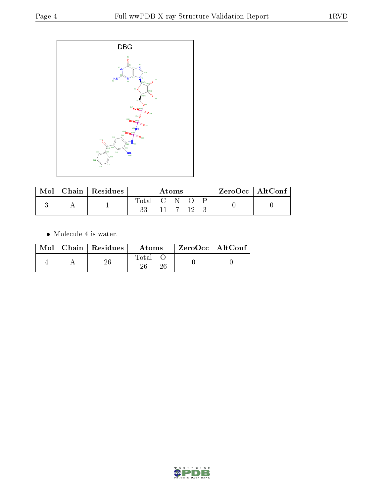

| Mol | $\vert$ Chain $\vert$ Residues | Atoms       |  |  |  |  | ZeroOcc   AltConf |
|-----|--------------------------------|-------------|--|--|--|--|-------------------|
|     |                                | Lotal C N O |  |  |  |  |                   |

 $\bullet\,$  Molecule 4 is water.

|  | $Mol$   Chain   Residues | Atoms | $ZeroOcc \mid AltConf \mid$ |  |
|--|--------------------------|-------|-----------------------------|--|
|  | วค                       | Total |                             |  |

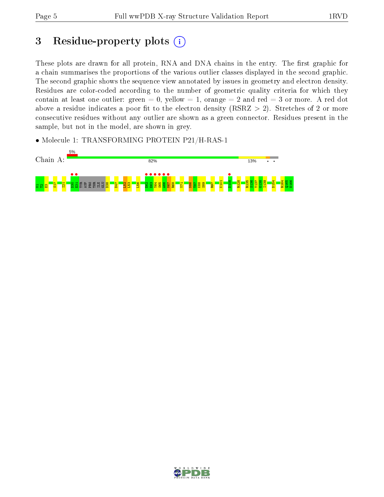## 3 Residue-property plots  $(i)$

These plots are drawn for all protein, RNA and DNA chains in the entry. The first graphic for a chain summarises the proportions of the various outlier classes displayed in the second graphic. The second graphic shows the sequence view annotated by issues in geometry and electron density. Residues are color-coded according to the number of geometric quality criteria for which they contain at least one outlier: green  $= 0$ , yellow  $= 1$ , orange  $= 2$  and red  $= 3$  or more. A red dot above a residue indicates a poor fit to the electron density (RSRZ  $> 2$ ). Stretches of 2 or more consecutive residues without any outlier are shown as a green connector. Residues present in the sample, but not in the model, are shown in grey.

• Molecule 1: TRANSFORMING PROTEIN P21/H-RAS-1



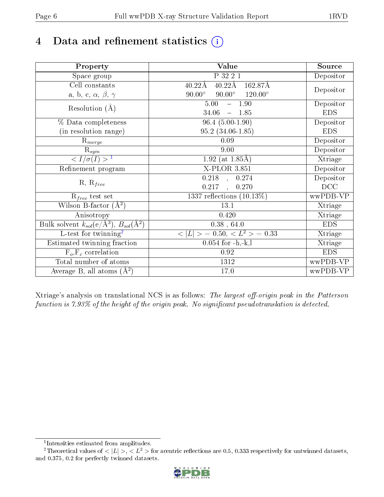# 4 Data and refinement statistics  $(i)$

| Property                                                             | <b>Value</b>                                       | Source     |
|----------------------------------------------------------------------|----------------------------------------------------|------------|
| Space group                                                          | P 32 2 1                                           | Depositor  |
| Cell constants                                                       | $40.22\text{\AA}$<br>$40.22\text{\AA}$<br>162.87Å  |            |
| a, b, c, $\alpha$ , $\beta$ , $\gamma$                               | $90.00^\circ$<br>$90.00^\circ$<br>$120.00^{\circ}$ | Depositor  |
| Resolution $(A)$                                                     | 5.00<br>$-1.90$                                    | Depositor  |
|                                                                      | 34.06<br>1.85<br>$\equiv$                          | <b>EDS</b> |
| % Data completeness                                                  | $96.4(5.00-1.90)$                                  | Depositor  |
| (in resolution range)                                                | $95.2(34.06-1.85)$                                 | <b>EDS</b> |
| $R_{merge}$                                                          | 0.09                                               | Depositor  |
| $\mathrm{R}_{sym}$                                                   | 9.00                                               | Depositor  |
| $\langle I/\sigma(I) \rangle^{-1}$                                   | $1.92$ (at 1.85Å)                                  | Xtriage    |
| Refinement program                                                   | $X$ -PLOR 3.851                                    | Depositor  |
| $R, R_{free}$                                                        | 0.218<br>0.274<br>$\mathbb{Z}_2$                   | Depositor  |
|                                                                      | 0.217<br>0.270<br>$\ddot{\phantom{a}}$             | DCC        |
| $R_{free}$ test set                                                  | 1337 reflections $(10.13\%)$                       | wwPDB-VP   |
| Wilson B-factor $(A^2)$                                              | 13.1                                               | Xtriage    |
| Anisotropy                                                           | 0.420                                              | Xtriage    |
| Bulk solvent $k_{sol}(e/\mathring{A}^3)$ , $B_{sol}(\mathring{A}^2)$ | $0.38$ , 64.0                                      | <b>EDS</b> |
| L-test for twinning <sup>2</sup>                                     | $>$ = 0.50, < $L^2$ > = 0.33<br>< L                | Xtriage    |
| Estimated twinning fraction                                          | $0.054$ for $-h,-k,l$                              | Xtriage    |
| $F_o, F_c$ correlation                                               | 0.92                                               | <b>EDS</b> |
| Total number of atoms                                                | 1312                                               | wwPDB-VP   |
| Average B, all atoms $(A^2)$                                         | 17.0                                               | wwPDB-VP   |

Xtriage's analysis on translational NCS is as follows: The largest off-origin peak in the Patterson function is  $7.93\%$  of the height of the origin peak. No significant pseudotranslation is detected.

<sup>&</sup>lt;sup>2</sup>Theoretical values of  $\langle |L| \rangle$ ,  $\langle L^2 \rangle$  for acentric reflections are 0.5, 0.333 respectively for untwinned datasets, and 0.375, 0.2 for perfectly twinned datasets.



<span id="page-5-1"></span><span id="page-5-0"></span><sup>1</sup> Intensities estimated from amplitudes.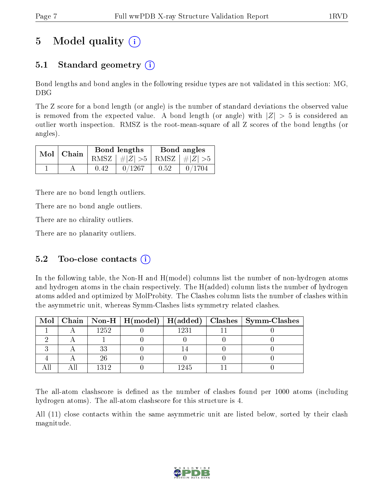# 5 Model quality  $(i)$

## 5.1 Standard geometry  $(i)$

Bond lengths and bond angles in the following residue types are not validated in this section: MG, DBG

The Z score for a bond length (or angle) is the number of standard deviations the observed value is removed from the expected value. A bond length (or angle) with  $|Z| > 5$  is considered an outlier worth inspection. RMSZ is the root-mean-square of all Z scores of the bond lengths (or angles).

| $Mol$   Chain |      | Bond lengths                    | Bond angles |                                                                 |  |
|---------------|------|---------------------------------|-------------|-----------------------------------------------------------------|--|
|               |      | RMSZ $ #Z  > 5$ RMSZ $ #Z  > 5$ |             |                                                                 |  |
|               | 0.42 | 0/1267                          | 0.52        | $\begin{array}{ c c c c c } \hline 0/1704 \ \hline \end{array}$ |  |

There are no bond length outliers.

There are no bond angle outliers.

There are no chirality outliers.

There are no planarity outliers.

### 5.2 Too-close contacts  $(i)$

In the following table, the Non-H and H(model) columns list the number of non-hydrogen atoms and hydrogen atoms in the chain respectively. The H(added) column lists the number of hydrogen atoms added and optimized by MolProbity. The Clashes column lists the number of clashes within the asymmetric unit, whereas Symm-Clashes lists symmetry related clashes.

|  |      |      | Mol   Chain   Non-H   H(model)   H(added)   Clashes   Symm-Clashes |
|--|------|------|--------------------------------------------------------------------|
|  | 1252 | 1231 |                                                                    |
|  |      |      |                                                                    |
|  | うう   |      |                                                                    |
|  |      |      |                                                                    |
|  | 1312 | 1245 |                                                                    |

The all-atom clashscore is defined as the number of clashes found per 1000 atoms (including hydrogen atoms). The all-atom clashscore for this structure is 4.

All (11) close contacts within the same asymmetric unit are listed below, sorted by their clash magnitude.

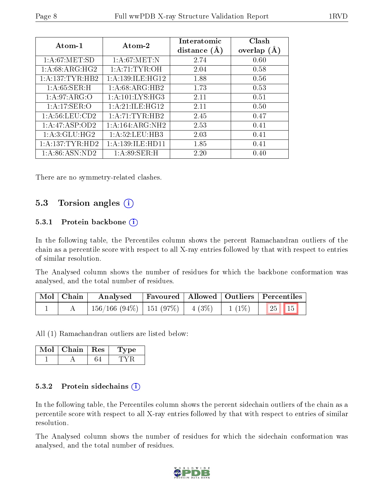| Atom-1             | Atom-2               | Interatomic<br>distance $(A)$ | Clash<br>overlap $(A)$ |
|--------------------|----------------------|-------------------------------|------------------------|
| 1: A:67: MET:SD    | 1: A:67: MET: N      | 2.74                          | 0.60                   |
| 1:A:68:ARG:HG2     | 1: A: 71: TYR: OH    | 2.04                          | 0.58                   |
| 1: A:137: TYR: HB2 | 1:A:139:ILE:HG12     | 1.88                          | 0.56                   |
| 1: A:65:SER:H      | 1: A:68: ARG: HB2    | 1.73                          | 0.53                   |
| 1: A:97: ARG:O     | 1: A:101:LYS:HG3     | 2.11                          | 0.51                   |
| 1:A:17:SER:O       | $1:$ A:21:ILE:HG12   | 2.11                          | 0.50                   |
| 1: A:56: LEU:CD2   | 1: A:71:TYR:HB2      | 2.45                          | 0.47                   |
| 1:A:47:ASP:OD2     | 1:A:164:ARG:NH2      | 2.53                          | 0.41                   |
| 1:A:3:GLU:HG2      | 1: A:52:LEU:HB3      | 2.03                          | 0.41                   |
| 1:A:137:TYR:HD2    | 1: A: 139: ILE: HD11 | 1.85                          | 0.41                   |
| 1: A:86: ASN:ND2   | 1:A:89:SER:H         | 2.20                          | 0.40                   |

There are no symmetry-related clashes.

### 5.3 Torsion angles (i)

#### 5.3.1 Protein backbone (i)

In the following table, the Percentiles column shows the percent Ramachandran outliers of the chain as a percentile score with respect to all X-ray entries followed by that with respect to entries of similar resolution.

The Analysed column shows the number of residues for which the backbone conformation was analysed, and the total number of residues.

| Mol   Chain | Analysed                                |  | Favoured   Allowed   Outliers   Percentiles |
|-------------|-----------------------------------------|--|---------------------------------------------|
|             | $156/166$ (94\%)   151 (97\%)   4 (3\%) |  | $1(1\%)$ $25$ $15$                          |

All (1) Ramachandran outliers are listed below:

| Mol | Chain | Res | vpe |
|-----|-------|-----|-----|
|     |       |     |     |

#### 5.3.2 Protein sidechains  $(i)$

In the following table, the Percentiles column shows the percent sidechain outliers of the chain as a percentile score with respect to all X-ray entries followed by that with respect to entries of similar resolution.

The Analysed column shows the number of residues for which the sidechain conformation was analysed, and the total number of residues.

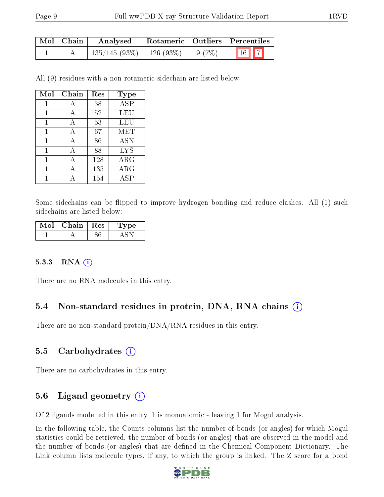| Mol   Chain | Analysed                     |       | Rotameric   Outliers   Percentiles |  |  |
|-------------|------------------------------|-------|------------------------------------|--|--|
|             | $135/145(93\%)$   126 (93\%) | 9(7%) | 16 7                               |  |  |

All (9) residues with a non-rotameric sidechain are listed below:

| Mol | Chain | Res | Type       |
|-----|-------|-----|------------|
| 1   | А     | 38  | <b>ASP</b> |
| 1   | А     | 52  | LEU        |
| 1   | А     | 53  | LEU        |
| 1   | А     | 67  | MET        |
| 1   | А     | 86  | <b>ASN</b> |
| 1   | А     | 88  | <b>LYS</b> |
| 1   | A     | 128 | $\rm{ARG}$ |
|     |       | 135 | $\rm{ARG}$ |
|     |       | 154 | ASP        |

Some sidechains can be flipped to improve hydrogen bonding and reduce clashes. All (1) such sidechains are listed below:

| Mol | Chain   Res | 'Type |
|-----|-------------|-------|
|     |             |       |

#### $5.3.3$  RNA  $(i)$

There are no RNA molecules in this entry.

#### 5.4 Non-standard residues in protein, DNA, RNA chains (i)

There are no non-standard protein/DNA/RNA residues in this entry.

#### 5.5 Carbohydrates  $(i)$

There are no carbohydrates in this entry.

### 5.6 Ligand geometry  $(i)$

Of 2 ligands modelled in this entry, 1 is monoatomic - leaving 1 for Mogul analysis.

In the following table, the Counts columns list the number of bonds (or angles) for which Mogul statistics could be retrieved, the number of bonds (or angles) that are observed in the model and the number of bonds (or angles) that are defined in the Chemical Component Dictionary. The Link column lists molecule types, if any, to which the group is linked. The Z score for a bond

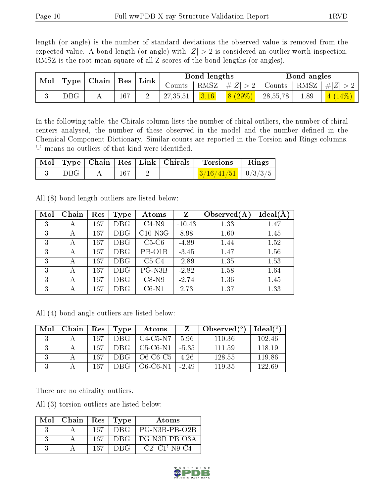length (or angle) is the number of standard deviations the observed value is removed from the expected value. A bond length (or angle) with  $|Z| > 2$  is considered an outlier worth inspection. RMSZ is the root-mean-square of all Z scores of the bond lengths (or angles).

|  | Chain   Res $_1$<br>Mol<br>${\bf Link}$<br><b>Type</b> |        |         |          |        |           |          |      |  |  | Bond lengths |  |  | Bond angles |  |
|--|--------------------------------------------------------|--------|---------|----------|--------|-----------|----------|------|--|--|--------------|--|--|-------------|--|
|  |                                                        | Counts | RMSZ    | #Z  > 2  | Counts | RMSZ      | $\# Z $  |      |  |  |              |  |  |             |  |
|  | DBG                                                    |        | $167\,$ | 27,35,51 | 3.16   | $8(29\%)$ | 28,55,78 | 1.89 |  |  |              |  |  |             |  |

In the following table, the Chirals column lists the number of chiral outliers, the number of chiral centers analysed, the number of these observed in the model and the number defined in the Chemical Component Dictionary. Similar counts are reported in the Torsion and Rings columns. '-' means no outliers of that kind were identified.

|     |  |  | Mol   Type   Chain   Res   Link   Chirals   Torsions | $\parallel$ Rings |
|-----|--|--|------------------------------------------------------|-------------------|
| DBG |  |  | $\frac{3}{16/41/51}$ $\frac{0}{3/3/5}$               |                   |

All (8) bond length outliers are listed below:

| Mol | Chain | Res | Type      | Atoms     | Z        | Observed $(A$ | $Ideal(\AA)$ |
|-----|-------|-----|-----------|-----------|----------|---------------|--------------|
| 3   | А     | 167 | DBG       | $C4-N9$   | $-10.43$ | 1.33          | 1.47         |
| 3   | А     | 167 | DBG       | $C10-N3G$ | 8.98     | 1.60          | 1.45         |
| 3   | А     | 167 | DBG       | $C5-C6$   | $-4.89$  | 1.44          | 1.52         |
| 3   | А     | 167 | DBG       | PB-O1B    | $-3.45$  | 1.47          | 1.56         |
| 3   | А     | 167 | DBG       | $C5-C4$   | $-2.89$  | 1.35          | 1.53         |
| 3   | А     | 167 | DBG       | PG-N3B    | $-2.82$  | 1.58          | 1.64         |
| 3   | А     | 167 | DBG       | $C8-N9$   | $-2.74$  | 1.36          | 1.45         |
| 3   | А     | 167 | $\rm DBG$ | $C6-N1$   | 2.73     | 1.37          | 1.33         |

All (4) bond angle outliers are listed below:

| Mol | $\vert$ Chain $\vert$ Res $\vert$ Type |     |     | Atoms                    | Z          | Observed $(^\circ)$ | $Ideal(^{\circ})$ |
|-----|----------------------------------------|-----|-----|--------------------------|------------|---------------------|-------------------|
|     |                                        | 167 | DBG | $\pm$ C4-C5-N7           | -5.96      | -110.36             | 102.46            |
|     |                                        | 167 |     | $DBG$   C5-C6-N1   -5.35 |            | 111.59              | 118 19            |
|     |                                        | 167 |     | $DBG$   O6-C6-C5         | -4.26      | 128.55              | 119.86            |
|     |                                        | 167 |     | $DBG$   O6-C6-N1         | $1 - 2.49$ | 119.35              | 122.69            |

There are no chirality outliers.

All (3) torsion outliers are listed below:

| Mol | Chain | Res | Type | Atoms                                           |
|-----|-------|-----|------|-------------------------------------------------|
|     |       | 167 | DBG  | PG-N3B-PB-O2B                                   |
|     |       | 167 | DBG. | PG-N3B-PB-O3A                                   |
|     |       | 167 |      | $C2$ <sup>-</sup> $C1$ <sup>-</sup> $N9$ - $C4$ |

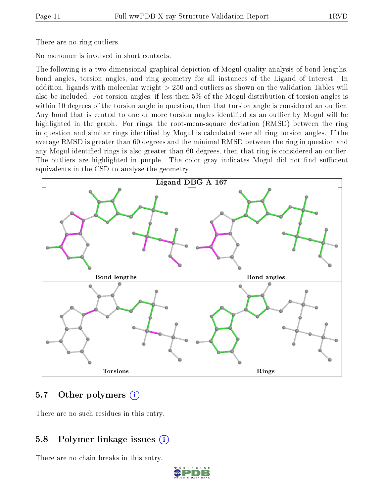There are no ring outliers.

No monomer is involved in short contacts.

The following is a two-dimensional graphical depiction of Mogul quality analysis of bond lengths, bond angles, torsion angles, and ring geometry for all instances of the Ligand of Interest. In addition, ligands with molecular weight > 250 and outliers as shown on the validation Tables will also be included. For torsion angles, if less then 5% of the Mogul distribution of torsion angles is within 10 degrees of the torsion angle in question, then that torsion angle is considered an outlier. Any bond that is central to one or more torsion angles identified as an outlier by Mogul will be highlighted in the graph. For rings, the root-mean-square deviation (RMSD) between the ring in question and similar rings identified by Mogul is calculated over all ring torsion angles. If the average RMSD is greater than 60 degrees and the minimal RMSD between the ring in question and any Mogul-identified rings is also greater than 60 degrees, then that ring is considered an outlier. The outliers are highlighted in purple. The color gray indicates Mogul did not find sufficient equivalents in the CSD to analyse the geometry.



### 5.7 [O](https://www.wwpdb.org/validation/2017/XrayValidationReportHelp#nonstandard_residues_and_ligands)ther polymers (i)

There are no such residues in this entry.

### 5.8 Polymer linkage issues  $(i)$

There are no chain breaks in this entry.

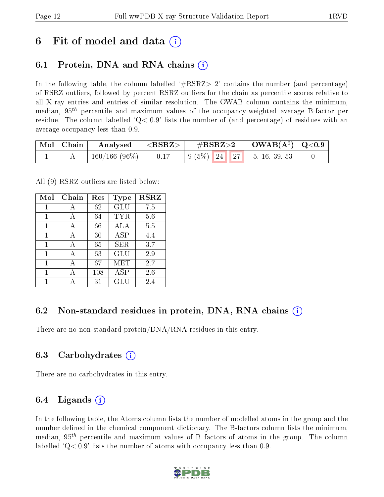## 6 Fit of model and data  $\left( \cdot \right)$

### 6.1 Protein, DNA and RNA chains (i)

In the following table, the column labelled  $#RSRZ>2'$  contains the number (and percentage) of RSRZ outliers, followed by percent RSRZ outliers for the chain as percentile scores relative to all X-ray entries and entries of similar resolution. The OWAB column contains the minimum, median,  $95<sup>th</sup>$  percentile and maximum values of the occupancy-weighted average B-factor per residue. The column labelled  $Q< 0.9$  lists the number of (and percentage) of residues with an average occupancy less than 0.9.

| Mol   Chain | Analysed        | $^+$ <rsrz> <math>^-</math></rsrz> | $\rm \#RSRZ{>}2$                                                                                    |  | $\mid$ OWAB(Å <sup>2</sup> ) $\mid$ Q<0.9 $\mid$ |  |
|-------------|-----------------|------------------------------------|-----------------------------------------------------------------------------------------------------|--|--------------------------------------------------|--|
|             | $160/166(96\%)$ | 0.17                               | $\begin{array}{ c c c c c c c c c } \hline 9 & 5 & 24 & 27 & 5 & 16 & 39 & 53 \ \hline \end{array}$ |  |                                                  |  |

All (9) RSRZ outliers are listed below:

| Mol | Chain | $\operatorname{Res}% \left( \mathcal{N}\right) \equiv\operatorname{Res}(\mathcal{N}_{0})\cap\mathcal{N}_{1}$ | <b>Type</b> | <b>RSRZ</b> |  |
|-----|-------|--------------------------------------------------------------------------------------------------------------|-------------|-------------|--|
| 1   | А     | 62                                                                                                           | GLU         | 7.5         |  |
| 1   | A     | 64                                                                                                           | <b>TYR</b>  | 5.6         |  |
| 1   | А     | 66                                                                                                           | ALA         | 5.5         |  |
| 1   | А     | 30                                                                                                           | ASP         | 4.4         |  |
| 1   | A     | 65                                                                                                           | SER.        | 3.7         |  |
| 1   | А     | 63                                                                                                           | GLU         | 2.9         |  |
| 1   | А     | 67                                                                                                           | MET         | 2.7         |  |
| 1   | А     | 108                                                                                                          | ASP         | 2.6         |  |
|     |       | 31                                                                                                           | GLU         | 2.4         |  |

#### 6.2 Non-standard residues in protein, DNA, RNA chains  $(i)$

There are no non-standard protein/DNA/RNA residues in this entry.

#### 6.3 Carbohydrates (i)

There are no carbohydrates in this entry.

#### 6.4 Ligands  $(i)$

In the following table, the Atoms column lists the number of modelled atoms in the group and the number defined in the chemical component dictionary. The B-factors column lists the minimum, median,  $95<sup>th</sup>$  percentile and maximum values of B factors of atoms in the group. The column labelled  $Q< 0.9$  lists the number of atoms with occupancy less than 0.9.